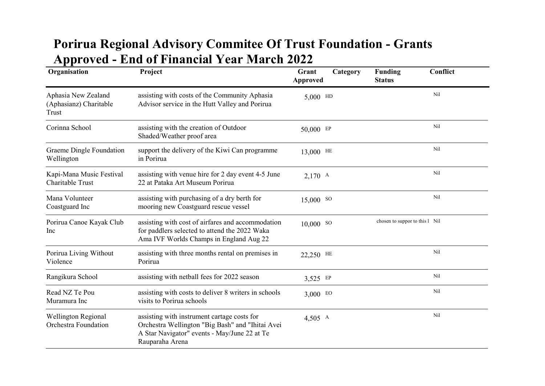## Porirua Regional Advisory Commitee Of Trust Foundation - Grants Approved - End of Financial Year March 2022

| Organisation                                           | Project                                                                                                                                                            | Grant<br>Category<br><b>Approved</b> | Conflict<br><b>Funding</b><br><b>Status</b> |  |
|--------------------------------------------------------|--------------------------------------------------------------------------------------------------------------------------------------------------------------------|--------------------------------------|---------------------------------------------|--|
| Aphasia New Zealand<br>(Aphasianz) Charitable<br>Trust | assisting with costs of the Community Aphasia<br>Advisor service in the Hutt Valley and Porirua                                                                    | $5,000$ HD                           | Nil                                         |  |
| Corinna School                                         | assisting with the creation of Outdoor<br>Shaded/Weather proof area                                                                                                | 50,000 EP                            | Nil                                         |  |
| Graeme Dingle Foundation<br>Wellington                 | support the delivery of the Kiwi Can programme<br>in Porirua                                                                                                       | 13,000 HE                            | Nil                                         |  |
| Kapi-Mana Music Festival<br>Charitable Trust           | assisting with venue hire for 2 day event 4-5 June<br>22 at Pataka Art Museum Porirua                                                                              | $2,170$ A                            | Nil                                         |  |
| Mana Volunteer<br>Coastguard Inc                       | assisting with purchasing of a dry berth for<br>mooring new Coastguard rescue vessel                                                                               | 15,000 so                            | Nil                                         |  |
| Porirua Canoe Kayak Club<br>Inc                        | assisting with cost of airfares and accommodation<br>for paddlers selected to attend the 2022 Waka<br>Ama IVF Worlds Champs in England Aug 22                      | $10,000$ so                          | chosen to suppor to this 1 Nil              |  |
| Porirua Living Without<br>Violence                     | assisting with three months rental on premises in<br>Porirua                                                                                                       | 22,250 HE                            | Nil                                         |  |
| Rangikura School                                       | assisting with netball fees for 2022 season                                                                                                                        | 3,525 EP                             | Nil                                         |  |
| Read NZ Te Pou<br>Muramura Inc                         | assisting with costs to deliver 8 writers in schools<br>visits to Porirua schools                                                                                  | $3,000$ EO                           | Nil                                         |  |
| <b>Wellington Regional</b><br>Orchestra Foundation     | assisting with instrument cartage costs for<br>Orchestra Wellington "Big Bash" and "Ihitai Avei<br>A Star Navigator" events - May/June 22 at Te<br>Rauparaha Arena | $4,505$ A                            | Nil                                         |  |